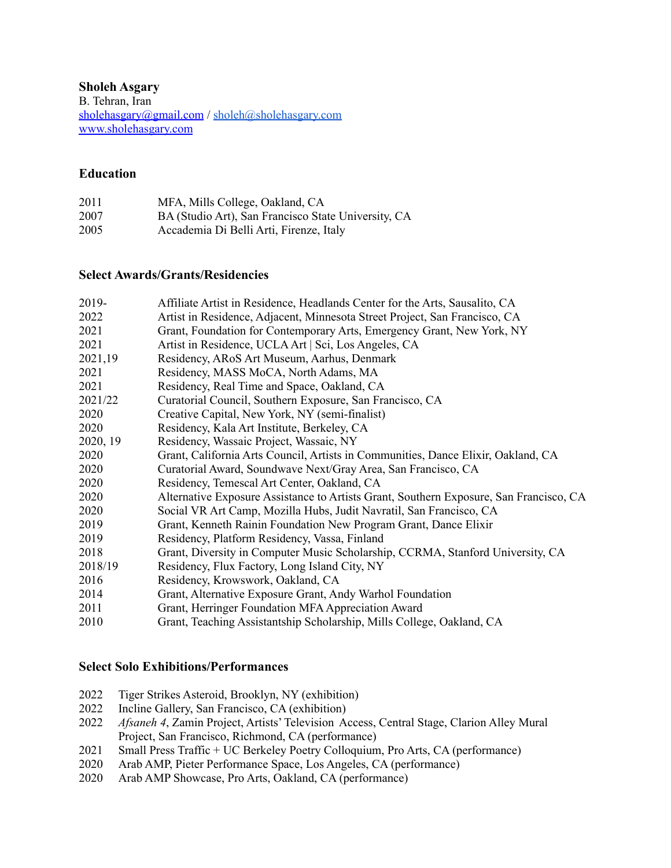**Sholeh Asgary** B. Tehran, Iran [sholehasgary@gmail.com](mailto:sholehasgary@gmail.com) / [sholeh@sholehasgary.com](mailto:sholeh@sholehasgary.com) [www.sholehasgary.com](http://www.sholehasgary.com)

#### **Education**

| 2011 | MFA, Mills College, Oakland, CA                     |
|------|-----------------------------------------------------|
| 2007 | BA (Studio Art), San Francisco State University, CA |
| 2005 | Accademia Di Belli Arti, Firenze, Italy             |

#### **Select Awards/Grants/Residencies**

| 2019-    | Affiliate Artist in Residence, Headlands Center for the Arts, Sausalito, CA            |
|----------|----------------------------------------------------------------------------------------|
| 2022     | Artist in Residence, Adjacent, Minnesota Street Project, San Francisco, CA             |
| 2021     | Grant, Foundation for Contemporary Arts, Emergency Grant, New York, NY                 |
| 2021     | Artist in Residence, UCLA Art   Sci, Los Angeles, CA                                   |
| 2021,19  | Residency, ARoS Art Museum, Aarhus, Denmark                                            |
| 2021     | Residency, MASS MoCA, North Adams, MA                                                  |
| 2021     | Residency, Real Time and Space, Oakland, CA                                            |
| 2021/22  | Curatorial Council, Southern Exposure, San Francisco, CA                               |
| 2020     | Creative Capital, New York, NY (semi-finalist)                                         |
| 2020     | Residency, Kala Art Institute, Berkeley, CA                                            |
| 2020, 19 | Residency, Wassaic Project, Wassaic, NY                                                |
| 2020     | Grant, California Arts Council, Artists in Communities, Dance Elixir, Oakland, CA      |
| 2020     | Curatorial Award, Soundwave Next/Gray Area, San Francisco, CA                          |
| 2020     | Residency, Temescal Art Center, Oakland, CA                                            |
| 2020     | Alternative Exposure Assistance to Artists Grant, Southern Exposure, San Francisco, CA |
| 2020     | Social VR Art Camp, Mozilla Hubs, Judit Navratil, San Francisco, CA                    |
| 2019     | Grant, Kenneth Rainin Foundation New Program Grant, Dance Elixir                       |
| 2019     | Residency, Platform Residency, Vassa, Finland                                          |
| 2018     | Grant, Diversity in Computer Music Scholarship, CCRMA, Stanford University, CA         |
| 2018/19  | Residency, Flux Factory, Long Island City, NY                                          |
| 2016     | Residency, Krowswork, Oakland, CA                                                      |
| 2014     | Grant, Alternative Exposure Grant, Andy Warhol Foundation                              |
| 2011     | Grant, Herringer Foundation MFA Appreciation Award                                     |
| 2010     | Grant, Teaching Assistantship Scholarship, Mills College, Oakland, CA                  |

#### **Select Solo Exhibitions/Performances**

- 2022 Tiger Strikes Asteroid, Brooklyn, NY (exhibition)<br>2022 Incline Gallery, San Francisco, CA (exhibition)
- Incline Gallery, San Francisco, CA (exhibition)
- 2022 *Afsaneh 4*, Zamin Project, Artists' Television Access, Central Stage, Clarion Alley Mural Project, San Francisco, Richmond, CA (performance)
- 2021 Small Press Traffic + UC Berkeley Poetry Colloquium, Pro Arts, CA (performance)
- 2020 Arab AMP, Pieter Performance Space, Los Angeles, CA (performance)<br>2020 Arab AMP Showcase, Pro Arts, Oakland, CA (performance)
- Arab AMP Showcase, Pro Arts, Oakland, CA (performance)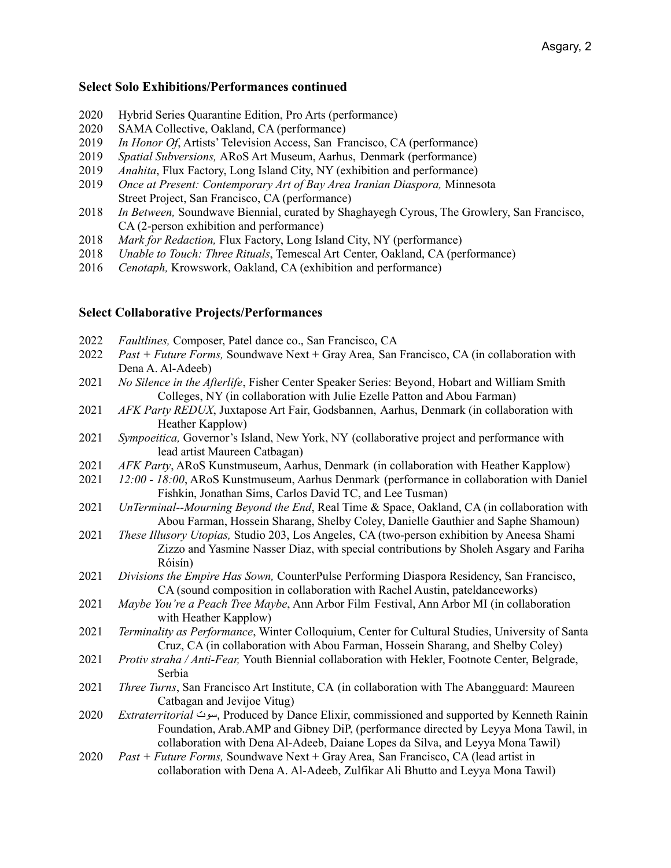#### **Select Solo Exhibitions/Performances continued**

- 2020 Hybrid Series Quarantine Edition, Pro Arts (performance)
- 2020 SAMA Collective, Oakland, CA (performance)
- 2019 *In Honor Of*, Artists' Television Access, San Francisco, CA (performance)
- 2019 *Spatial Subversions,* ARoS Art Museum, Aarhus, Denmark (performance)
- 2019 *Anahita*, Flux Factory, Long Island City, NY (exhibition and performance)
- 2019 *Once at Present: Contemporary Art of Bay Area Iranian Diaspora,* Minnesota Street Project, San Francisco, CA (performance)
- 2018 *In Between,* Soundwave Biennial, curated by Shaghayegh Cyrous, The Growlery, San Francisco, CA (2-person exhibition and performance)
- 2018 *Mark for Redaction,* Flux Factory, Long Island City, NY (performance)
- 2018 *Unable to Touch: Three Rituals*, Temescal Art Center, Oakland, CA (performance)
- 2016 *Cenotaph,* Krowswork, Oakland, CA (exhibition and performance)

#### **Select Collaborative Projects/Performances**

- 2022 *Faultlines,* Composer, Patel dance co., San Francisco, CA
- 2022 *Past + Future Forms,* Soundwave Next + Gray Area, San Francisco, CA (in collaboration with Dena A. Al-Adeeb)
- 2021 *No Silence in the Afterlife*, Fisher Center Speaker Series: Beyond, Hobart and William Smith Colleges, NY (in collaboration with Julie Ezelle Patton and Abou Farman)
- 2021 *AFK Party REDUX*, Juxtapose Art Fair, Godsbannen, Aarhus, Denmark (in collaboration with Heather Kapplow)
- 2021 *Sympoeitica,* Governor's Island, New York, NY (collaborative project and performance with lead artist Maureen Catbagan)
- 2021 *AFK Party*, ARoS Kunstmuseum, Aarhus, Denmark (in collaboration with Heather Kapplow)
- 2021 *12:00 - 18:00*, ARoS Kunstmuseum, Aarhus Denmark (performance in collaboration with Daniel Fishkin, Jonathan Sims, Carlos David TC, and Lee Tusman)
- 2021 *UnTerminal--Mourning Beyond the End*, Real Time & Space, Oakland, CA (in collaboration with Abou Farman, Hossein Sharang, Shelby Coley, Danielle Gauthier and Saphe Shamoun)
- 2021 *These Illusory Utopias,* Studio 203, Los Angeles, CA (two-person exhibition by Aneesa Shami Zizzo and Yasmine Nasser Diaz, with special contributions by Sholeh Asgary and Fariha Róisín)
- 2021 *Divisions the Empire Has Sown,* CounterPulse Performing Diaspora Residency, San Francisco, CA (sound composition in collaboration with Rachel Austin, pateldanceworks)
- 2021 *Maybe You're a Peach Tree Maybe*, Ann Arbor Film Festival, Ann Arbor MI (in collaboration with Heather Kapplow)
- 2021 *Terminality as Performance*, Winter Colloquium, Center for Cultural Studies, University of Santa Cruz, CA (in collaboration with Abou Farman, Hossein Sharang, and Shelby Coley)
- 2021 *Protiv straha / Anti-Fear,* Youth Biennial collaboration with Hekler, Footnote Center, Belgrade, Serbia
- 2021 *Three Turns*, San Francisco Art Institute, CA (in collaboration with The Abangguard: Maureen Catbagan and Jevijoe Vitug)
- 2020 *Extraterritorial* سوت, Produced by Dance Elixir, commissioned and supported by Kenneth Rainin Foundation, Arab.AMP and Gibney DiP, (performance directed by Leyya Mona Tawil, in collaboration with Dena Al-Adeeb, Daiane Lopes da Silva, and Leyya Mona Tawil)
- 2020 *Past + Future Forms,* Soundwave Next + Gray Area, San Francisco, CA (lead artist in collaboration with Dena A. Al-Adeeb, Zulfikar Ali Bhutto and Leyya Mona Tawil)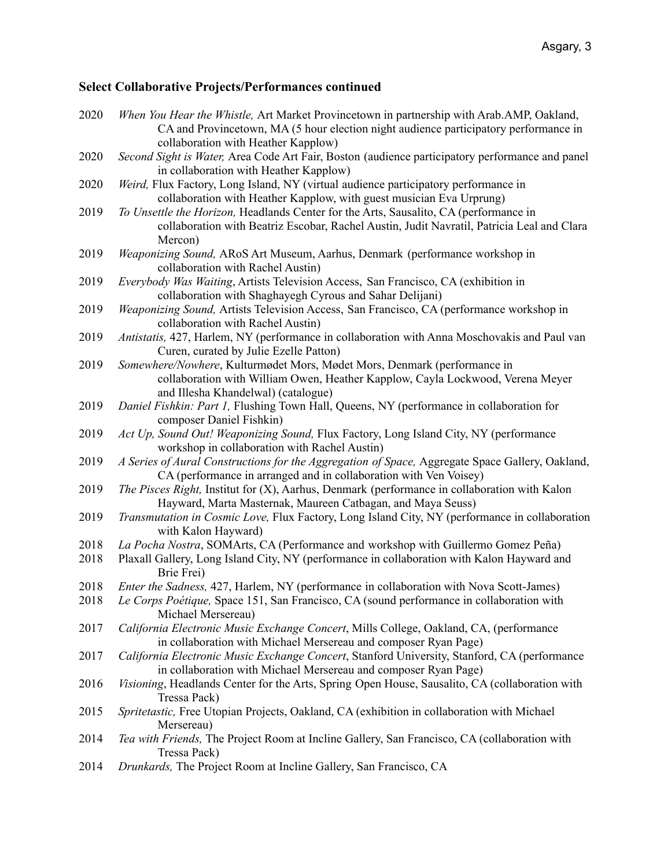# **Select Collaborative Projects/Performances continued**

| 2020 | When You Hear the Whistle, Art Market Provincetown in partnership with Arab.AMP, Oakland,                                                                                |
|------|--------------------------------------------------------------------------------------------------------------------------------------------------------------------------|
|      | CA and Provincetown, MA (5 hour election night audience participatory performance in                                                                                     |
|      | collaboration with Heather Kapplow)                                                                                                                                      |
| 2020 | Second Sight is Water, Area Code Art Fair, Boston (audience participatory performance and panel<br>in collaboration with Heather Kapplow)                                |
| 2020 | Weird, Flux Factory, Long Island, NY (virtual audience participatory performance in                                                                                      |
|      | collaboration with Heather Kapplow, with guest musician Eva Urprung)                                                                                                     |
| 2019 | To Unsettle the Horizon, Headlands Center for the Arts, Sausalito, CA (performance in                                                                                    |
|      | collaboration with Beatriz Escobar, Rachel Austin, Judit Navratil, Patricia Leal and Clara<br>Mercon)                                                                    |
| 2019 | Weaponizing Sound, ARoS Art Museum, Aarhus, Denmark (performance workshop in                                                                                             |
|      | collaboration with Rachel Austin)                                                                                                                                        |
| 2019 | Everybody Was Waiting, Artists Television Access, San Francisco, CA (exhibition in                                                                                       |
|      | collaboration with Shaghayegh Cyrous and Sahar Delijani)                                                                                                                 |
| 2019 | Weaponizing Sound, Artists Television Access, San Francisco, CA (performance workshop in                                                                                 |
|      | collaboration with Rachel Austin)                                                                                                                                        |
| 2019 | Antistatis, 427, Harlem, NY (performance in collaboration with Anna Moschovakis and Paul van                                                                             |
|      | Curen, curated by Julie Ezelle Patton)                                                                                                                                   |
| 2019 | Somewhere/Nowhere, Kulturmødet Mors, Mødet Mors, Denmark (performance in                                                                                                 |
|      | collaboration with William Owen, Heather Kapplow, Cayla Lockwood, Verena Meyer                                                                                           |
|      | and Illesha Khandelwal) (catalogue)                                                                                                                                      |
| 2019 | Daniel Fishkin: Part 1, Flushing Town Hall, Queens, NY (performance in collaboration for                                                                                 |
|      | composer Daniel Fishkin)                                                                                                                                                 |
| 2019 | Act Up, Sound Out! Weaponizing Sound, Flux Factory, Long Island City, NY (performance                                                                                    |
|      | workshop in collaboration with Rachel Austin)                                                                                                                            |
| 2019 | A Series of Aural Constructions for the Aggregation of Space, Aggregate Space Gallery, Oakland,                                                                          |
| 2019 | CA (performance in arranged and in collaboration with Ven Voisey)<br><i>The Pisces Right, Institut for (X), Aarhus, Denmark (performance in collaboration with Kalon</i> |
|      | Hayward, Marta Masternak, Maureen Catbagan, and Maya Seuss)                                                                                                              |
| 2019 | Transmutation in Cosmic Love, Flux Factory, Long Island City, NY (performance in collaboration                                                                           |
|      | with Kalon Hayward)                                                                                                                                                      |
| 2018 | La Pocha Nostra, SOMArts, CA (Performance and workshop with Guillermo Gomez Peña)                                                                                        |
| 2018 | Plaxall Gallery, Long Island City, NY (performance in collaboration with Kalon Hayward and                                                                               |
|      | Brie Frei)                                                                                                                                                               |
| 2018 | Enter the Sadness, 427, Harlem, NY (performance in collaboration with Nova Scott-James)                                                                                  |
| 2018 | Le Corps Poétique, Space 151, San Francisco, CA (sound performance in collaboration with                                                                                 |
|      | Michael Mersereau)                                                                                                                                                       |
| 2017 | California Electronic Music Exchange Concert, Mills College, Oakland, CA, (performance                                                                                   |
|      | in collaboration with Michael Mersereau and composer Ryan Page)                                                                                                          |
| 2017 | California Electronic Music Exchange Concert, Stanford University, Stanford, CA (performance                                                                             |
|      | in collaboration with Michael Mersereau and composer Ryan Page)                                                                                                          |
| 2016 | Visioning, Headlands Center for the Arts, Spring Open House, Sausalito, CA (collaboration with<br>Tressa Pack)                                                           |
| 2015 | Spritetastic, Free Utopian Projects, Oakland, CA (exhibition in collaboration with Michael                                                                               |
|      | Mersereau)                                                                                                                                                               |
| 2014 | Tea with Friends, The Project Room at Incline Gallery, San Francisco, CA (collaboration with                                                                             |
|      | Tressa Pack)                                                                                                                                                             |
| 2014 | Drunkards, The Project Room at Incline Gallery, San Francisco, CA                                                                                                        |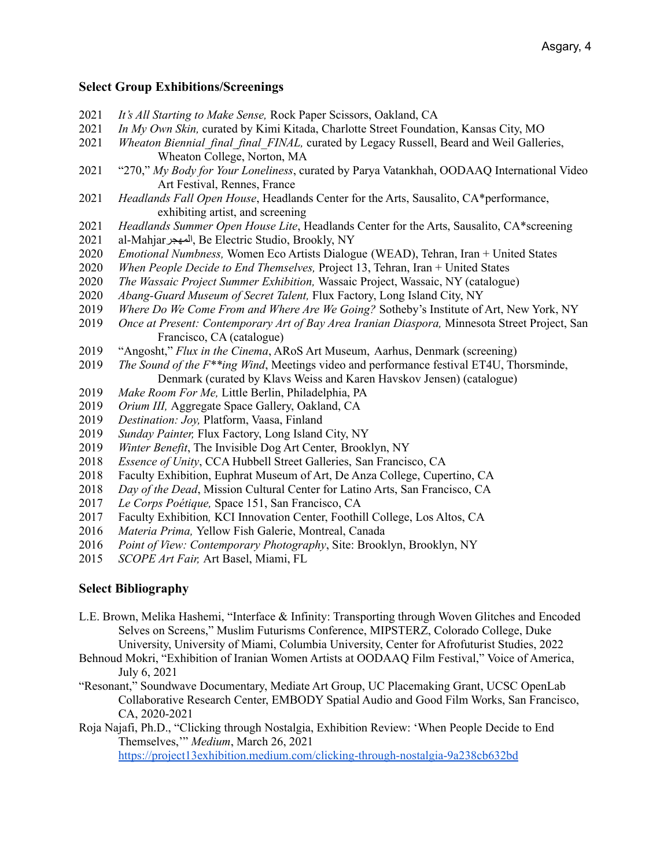# **Select Group Exhibitions/Screenings**

- 2021 *It's All Starting to Make Sense,* Rock Paper Scissors, Oakland, CA
- 2021 *In My Own Skin,* curated by Kimi Kitada, Charlotte Street Foundation, Kansas City, MO
- 2021 *Wheaton Biennial\_final\_final\_FINAL,* curated by Legacy Russell, Beard and Weil Galleries, Wheaton College, Norton, MA
- 2021 "270," *My Body for Your Loneliness*, curated by Parya Vatankhah, OODAAQ International Video Art Festival, Rennes, France
- 2021 *Headlands Fall Open House*, Headlands Center for the Arts, Sausalito, CA\*performance, exhibiting artist, and screening
- 2021 *Headlands Summer Open House Lite*, Headlands Center for the Arts, Sausalito, CA\*screening
- 2021 al-Mahjarالمھجر, Be Electric Studio, Brookly, NY
- 2020 *Emotional Numbness,* Women Eco Artists Dialogue (WEAD), Tehran, Iran + United States
- 2020 *When People Decide to End Themselves,* Project 13, Tehran, Iran + United States
- 2020 *The Wassaic Project Summer Exhibition,* Wassaic Project, Wassaic, NY (catalogue)
- 2020 *Abang-Guard Museum of Secret Talent,* Flux Factory, Long Island City, NY
- 2019 *Where Do We Come From and Where Are We Going?* Sotheby's Institute of Art, New York, NY
- 2019 *Once at Present: Contemporary Art of Bay Area Iranian Diaspora,* Minnesota Street Project, San Francisco, CA (catalogue)
- 2019 "Angosht," *Flux in the Cinema*, ARoS Art Museum, Aarhus, Denmark (screening)
- 2019 *The Sound of the F\*\*ing Wind*, Meetings video and performance festival ET4U, Thorsminde, Denmark (curated by Klavs Weiss and Karen Havskov Jensen) (catalogue)
- 2019 *Make Room For Me,* Little Berlin, Philadelphia, PA
- 2019 *Orium III,* Aggregate Space Gallery, Oakland, CA
- 2019 *Destination: Joy,* Platform, Vaasa, Finland
- 2019 *Sunday Painter,* Flux Factory, Long Island City, NY
- 2019 *Winter Benefit*, The Invisible Dog Art Center, Brooklyn, NY
- 2018 *Essence of Unity*, CCA Hubbell Street Galleries, San Francisco, CA
- 2018 Faculty Exhibition, Euphrat Museum of Art, De Anza College, Cupertino, CA
- 2018 *Day of the Dead*, Mission Cultural Center for Latino Arts, San Francisco, CA
- 2017 *Le Corps Poétique,* Space 151, San Francisco, CA
- 2017 Faculty Exhibition*,* KCI Innovation Center, Foothill College, Los Altos, CA
- 2016 *Materia Prima,* Yellow Fish Galerie, Montreal, Canada
- 2016 *Point of View: Contemporary Photography*, Site: Brooklyn, Brooklyn, NY
- 2015 *SCOPE Art Fair,* Art Basel, Miami, FL

## **Select Bibliography**

- L.E. Brown, Melika Hashemi, "Interface & Infinity: Transporting through Woven Glitches and Encoded Selves on Screens," Muslim Futurisms Conference, MIPSTERZ, Colorado College, Duke University, University of Miami, Columbia University, Center for Afrofuturist Studies, 2022
- Behnoud Mokri, "Exhibition of Iranian Women Artists at OODAAQ Film Festival," Voice of America, July 6, 2021
- "Resonant," Soundwave Documentary, Mediate Art Group, UC Placemaking Grant, UCSC OpenLab Collaborative Research Center, EMBODY Spatial Audio and Good Film Works, San Francisco, CA, 2020-2021
- Roja Najafi, Ph.D., "Clicking through Nostalgia, Exhibition Review: 'When People Decide to End Themselves,'" *Medium*, March 26, 2021

<https://project13exhibition.medium.com/clicking-through-nostalgia-9a238cb632bd>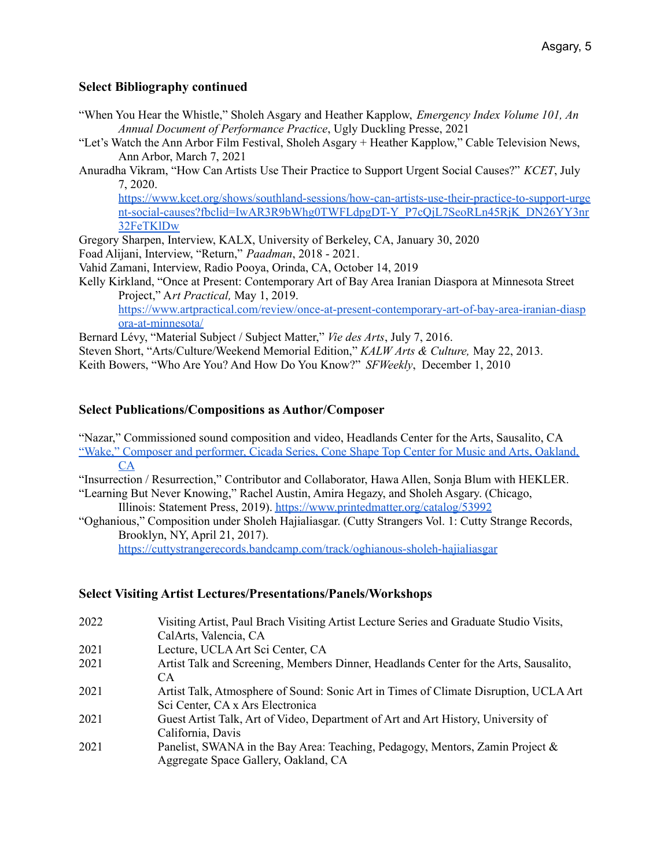# **Select Bibliography continued**

- "When You Hear the Whistle," Sholeh Asgary and Heather Kapplow, *Emergency Index Volume 101, An Annual Document of Performance Practice*, Ugly Duckling Presse, 2021
- "Let's Watch the Ann Arbor Film Festival, Sholeh Asgary + Heather Kapplow," Cable Television News, Ann Arbor, March 7, 2021
- Anuradha Vikram, "How Can Artists Use Their Practice to Support Urgent Social Causes?" *KCET*, July 7, 2020.

[https://www.kcet.org/shows/southland-sessions/how-can-artists-use-their-practice-to-support-urge](https://www.kcet.org/shows/southland-sessions/how-can-artists-use-their-practice-to-support-urgent-social-causes?fbclid=IwAR3R9bWhg0TWFLdpgDT-Y_P7cQjL7SeoRLn45RjK_DN26YY3nr32FeTKlDw) [nt-social-causes?fbclid=IwAR3R9bWhg0TWFLdpgDT-Y\\_P7cQjL7SeoRLn45RjK\\_DN26YY3nr](https://www.kcet.org/shows/southland-sessions/how-can-artists-use-their-practice-to-support-urgent-social-causes?fbclid=IwAR3R9bWhg0TWFLdpgDT-Y_P7cQjL7SeoRLn45RjK_DN26YY3nr32FeTKlDw) [32FeTKlDw](https://www.kcet.org/shows/southland-sessions/how-can-artists-use-their-practice-to-support-urgent-social-causes?fbclid=IwAR3R9bWhg0TWFLdpgDT-Y_P7cQjL7SeoRLn45RjK_DN26YY3nr32FeTKlDw)

Gregory Sharpen, Interview, KALX, University of Berkeley, CA, January 30, 2020

Foad Alijani, Interview, "Return," *Paadman*, 2018 - 2021.

- Vahid Zamani, Interview, Radio Pooya, Orinda, CA, October 14, 2019
- Kelly Kirkland, "Once at Present: Contemporary Art of Bay Area Iranian Diaspora at Minnesota Street Project," A*rt Practical,* May 1, 2019. [https://www.artpractical.com/review/once-at-present-contemporary-art-of-bay-area-iranian-diasp](https://www.artpractical.com/review/once-at-present-contemporary-art-of-bay-area-iranian-diaspora-at-minnesota/) [ora-at-minnesota/](https://www.artpractical.com/review/once-at-present-contemporary-art-of-bay-area-iranian-diaspora-at-minnesota/)

Bernard Lévy, "Material Subject / Subject Matter," *Vie des Arts*, July 7, 2016.

Steven Short, "Arts/Culture/Weekend Memorial Edition," *KALW Arts & Culture,* May 22, 2013. Keith Bowers, "Who Are You? And How Do You Know?" *SFWeekly*, December 1, 2010

## **Select Publications/Compositions as Author/Composer**

"Nazar," Commissioned sound composition and video, Headlands Center for the Arts, Sausalito, CA "Wake," Composer and [performer,](https://coneshapetop.com/cicada-series/2021/1/19/sholeh-asgary) Cicada Series, Cone Shape Top Center for Music and Arts, Oakland, [CA](https://coneshapetop.com/cicada-series/2021/1/19/sholeh-asgary)

"Insurrection / Resurrection," Contributor and Collaborator, Hawa Allen, Sonja Blum with HEKLER.

"Learning But Never Knowing," Rachel Austin, Amira Hegazy, and Sholeh Asgary. (Chicago, Illinois: Statement Press, 2019). <https://www.printedmatter.org/catalog/53992>

"Oghanious," Composition under Sholeh Hajialiasgar. (Cutty Strangers Vol. 1: Cutty Strange Records, Brooklyn, NY, April 21, 2017).

<https://cuttystrangerecords.bandcamp.com/track/oghianous-sholeh-hajialiasgar>

## **Select Visiting Artist Lectures/Presentations/Panels/Workshops**

| 2022 | Visiting Artist, Paul Brach Visiting Artist Lecture Series and Graduate Studio Visits, |
|------|----------------------------------------------------------------------------------------|
|      | CalArts, Valencia, CA                                                                  |
| 2021 | Lecture, UCLA Art Sci Center, CA                                                       |
| 2021 | Artist Talk and Screening, Members Dinner, Headlands Center for the Arts, Sausalito,   |
|      | CA.                                                                                    |
| 2021 | Artist Talk, Atmosphere of Sound: Sonic Art in Times of Climate Disruption, UCLA Art   |
|      | Sci Center, CA x Ars Electronica                                                       |
| 2021 | Guest Artist Talk, Art of Video, Department of Art and Art History, University of      |
|      | California, Davis                                                                      |
| 2021 | Panelist, SWANA in the Bay Area: Teaching, Pedagogy, Mentors, Zamin Project $\&$       |
|      | Aggregate Space Gallery, Oakland, CA                                                   |
|      |                                                                                        |